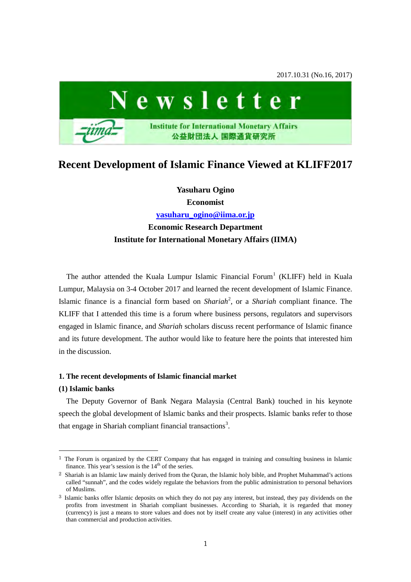2017.10.31 (No.16, 2017)



# **Recent Development of Islamic Finance Viewed at KLIFF2017**

**Yasuharu Ogino Economist** 

**[yasuharu\\_ogino@iima.or.jp](mailto:yasuharu_ogino@iima.or.jp)**

# **Economic Research Department Institute for International Monetary Affairs (IIMA)**

The author attended the Kuala Lumpur Islamic Financial Forum<sup>[1](#page-0-0)</sup> (KLIFF) held in Kuala Lumpur, Malaysia on 3-4 October 2017 and learned the recent development of Islamic Finance. Islamic finance is a financial form based on *Shariah*<sup>[2](#page-0-1)</sup>, or a *Shariah* compliant finance. The KLIFF that I attended this time is a forum where business persons, regulators and supervisors engaged in Islamic finance, and *Shariah* scholars discuss recent performance of Islamic finance and its future development. The author would like to feature here the points that interested him in the discussion.

## **1. The recent developments of Islamic financial market**

## **(1) Islamic banks**

1

The Deputy Governor of Bank Negara Malaysia (Central Bank) touched in his keynote speech the global development of Islamic banks and their prospects. Islamic banks refer to those that engage in Shariah compliant financial transactions<sup>[3](#page-0-2)</sup>.

<span id="page-0-0"></span><sup>&</sup>lt;sup>1</sup> The Forum is organized by the CERT Company that has engaged in training and consulting business in Islamic finance. This year's session is the  $14<sup>th</sup>$  of the series.

<span id="page-0-1"></span><sup>2</sup> Shariah is an Islamic law mainly derived from the Quran, the Islamic holy bible, and Prophet Muhammad's actions called "sunnah", and the codes widely regulate the behaviors from the public administration to personal behaviors of Muslims.

<span id="page-0-2"></span><sup>&</sup>lt;sup>3</sup> Islamic banks offer Islamic deposits on which they do not pay any interest, but instead, they pay dividends on the profits from investment in Shariah compliant businesses. According to Shariah, it is regarded that money (currency) is just a means to store values and does not by itself create any value (interest) in any activities other than commercial and production activities.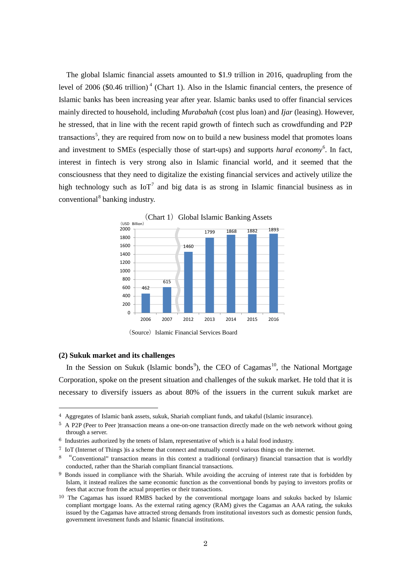The global Islamic financial assets amounted to \$1.9 trillion in 2016, quadrupling from the level of 2006 (\$0.[4](#page-1-0)6 trillion)<sup> $4$ </sup> (Chart 1). Also in the Islamic financial centers, the presence of Islamic banks has been increasing year after year. Islamic banks used to offer financial services mainly directed to household, including *[Murabahah](https://en.wikipedia.org/wiki/Murabaha)* (cost plus loan) and *Ijar* [\(leasing\)](https://en.wikipedia.org/wiki/Leasing). However, he stressed, that in line with the recent rapid growth of fintech such as crowdfunding and P2P transactions<sup>[5](#page-1-1)</sup>, they are required from now on to build a new business model that promotes loans and investment to SMEs (especially those of start-ups) and supports *haral economy*<sup>[6](#page-1-2)</sup>. In fact, interest in fintech is very strong also in Islamic financial world, and it seemed that the consciousness that they need to digitalize the existing financial services and actively utilize the high technology such as  $I\circ T^7$  $I\circ T^7$  and big data is as strong in Islamic financial business as in conventional<sup>[8](#page-1-4)</sup> banking industry.



(Source) Islamic Financial Services Board

#### **(2) Sukuk market and its challenges**

1

In the Session on Sukuk (Islamic bonds<sup>[9](#page-1-5)</sup>), the CEO of Cagamas<sup>[10](#page-1-6)</sup>, the National Mortgage Corporation, spoke on the present situation and challenges of the sukuk market. He told that it is necessary to diversify issuers as about 80% of the issuers in the current sukuk market are

<span id="page-1-0"></span><sup>4</sup> Aggregates of Islamic bank assets, sukuk, Shariah compliant funds, and takaful (Islamic insurance).

<span id="page-1-1"></span><sup>5</sup> A P2P (Peer to Peer )transaction means a one-on-one transaction directly made on the web network without going through a server.

<span id="page-1-3"></span><span id="page-1-2"></span><sup>6</sup> Industries authorized by the tenets of Islam, representative of which is a halal food industry.

<sup>7</sup> IoT (Internet of Things )is a scheme that connect and mutually control various things on the internet.

<span id="page-1-4"></span><sup>&</sup>lt;sup>8</sup> "Conventional" transaction means in this context a traditional (ordinary) financial transaction that is worldly conducted, rather than the Shariah compliant financial transactions.

<span id="page-1-5"></span><sup>&</sup>lt;sup>9</sup> Bonds issued in compliance with the Shariah. While avoiding the accruing of interest rate that is forbidden by Islam, it instead realizes the same economic function as the conventional bonds by paying to investors profits or fees that accrue from the actual properties or their transactions.

<span id="page-1-6"></span><sup>10</sup> The Cagamas has issued RMBS backed by the conventional mortgage loans and sukuks backed by Islamic compliant mortgage loans. As the external rating agency (RAM) gives the Cagamas an AAA rating, the sukuks issued by the Cagamas have attracted strong demands from institutional investors such as domestic pension funds, government investment funds and Islamic financial institutions.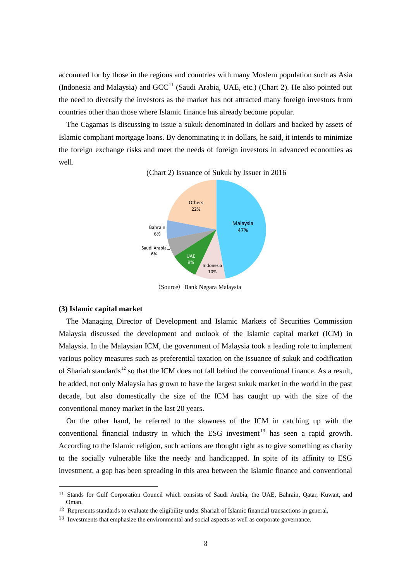accounted for by those in the regions and countries with many Moslem population such as Asia (Indonesia and Malaysia) and  $GCC<sup>11</sup>$  $GCC<sup>11</sup>$  $GCC<sup>11</sup>$  (Saudi Arabia, UAE, etc.) (Chart 2). He also pointed out the need to diversify the investors as the market has not attracted many foreign investors from countries other than those where Islamic finance has already become popular.

The Cagamas is discussing to issue a sukuk denominated in dollars and backed by assets of Islamic compliant mortgage loans. By denominating it in dollars, he said, it intends to minimize the foreign exchange risks and meet the needs of foreign investors in advanced economies as well.

(Chart 2) Issuance of Sukuk by Issuer in 2016



(Source) Bank Negara Malaysia

## **(3) Islamic capital market**

1

The Managing Director of Development and Islamic Markets of Securities Commission Malaysia discussed the development and outlook of the Islamic capital market (ICM) in Malaysia. In the Malaysian ICM, the government of Malaysia took a leading role to implement various policy measures such as preferential taxation on the issuance of sukuk and codification of Shariah standards<sup>[12](#page-2-1)</sup> so that the ICM does not fall behind the conventional finance. As a result, he added, not only Malaysia has grown to have the largest sukuk market in the world in the past decade, but also domestically the size of the ICM has caught up with the size of the conventional money market in the last 20 years.

On the other hand, he referred to the slowness of the ICM in catching up with the conventional financial industry in which the ESG investment<sup>[13](#page-2-2)</sup> has seen a rapid growth. According to the Islamic religion, such actions are thought right as to give something as charity to the socially vulnerable like the needy and handicapped. In spite of its affinity to ESG investment, a gap has been spreading in this area between the Islamic finance and conventional

<span id="page-2-0"></span><sup>11</sup> Stands for Gulf Corporation Council which consists of Saudi Arabia, the UAE, Bahrain, Qatar, Kuwait, and Oman.

<span id="page-2-1"></span><sup>&</sup>lt;sup>12</sup> Represents standards to evaluate the eligibility under Shariah of Islamic financial transactions in general,

<span id="page-2-2"></span> $13$  Investments that emphasize the environmental and social aspects as well as corporate governance.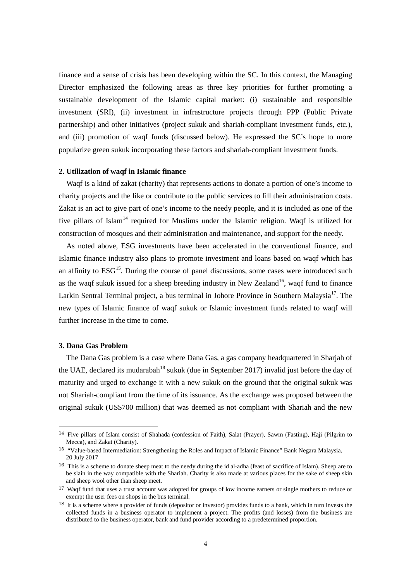finance and a sense of crisis has been developing within the SC. In this context, the Managing Director emphasized the following areas as three key priorities for further promoting a sustainable development of the Islamic capital market: (i) sustainable and responsible investment (SRI), (ii) investment in infrastructure projects through PPP (Public Private partnership) and other initiatives (project sukuk and shariah-compliant investment funds, etc.), and (iii) promotion of waqf funds (discussed below). He expressed the SC's hope to more popularize green sukuk incorporating these factors and shariah-compliant investment funds.

## **2. Utilization of waqf in Islamic finance**

Waqf is a kind of zakat (charity) that represents actions to donate a portion of one's income to charity projects and the like or contribute to the public services to fill their administration costs. Zakat is an act to give part of one's income to the needy people, and it is included as one of the five pillars of Islam<sup>[14](#page-3-0)</sup> required for Muslims under the Islamic religion. Waqf is utilized for construction of mosques and their administration and maintenance, and support for the needy.

As noted above, ESG investments have been accelerated in the conventional finance, and Islamic finance industry also plans to promote investment and loans based on waqf which has an affinity to  $ESG<sup>15</sup>$ . During the course of panel discussions, some cases were introduced such as the waqf sukuk issued for a sheep breeding industry in New Zealand<sup>[16](#page-3-2)</sup>, waqf fund to finance Larkin Sentral Terminal project, a bus terminal in Johore Province in Southern Malaysia<sup>[17](#page-3-3)</sup>. The new types of Islamic finance of waqf sukuk or Islamic investment funds related to waqf will further increase in the time to come.

# **3. Dana Gas Problem**

1

The Dana Gas problem is a case where Dana Gas, a gas company headquartered in Sharjah of the UAE, declared its mudarabah<sup>[18](#page-3-4)</sup> sukuk (due in September 2017) invalid just before the day of maturity and urged to exchange it with a new sukuk on the ground that the original sukuk was not Shariah-compliant from the time of its issuance. As the exchange was proposed between the original sukuk (US\$700 million) that was deemed as not compliant with Shariah and the new

<span id="page-3-0"></span><sup>14</sup> Five pillars of Islam consist of Shahada (confession of Faith), Salat (Prayer), Sawm (Fasting), Haji (Pilgrim to Mecca), and Zakat (Charity).

<span id="page-3-1"></span><sup>15</sup> "Value-based Intermediation: Strengthening the Roles and Impact of Islamic Finance" Bank Negara Malaysia, 20 July 2017

<span id="page-3-2"></span><sup>&</sup>lt;sup>16</sup> This is a scheme to donate sheep meat to the needy during the id al-adha (feast of sacrifice of Islam). Sheep are to be slain in the way compatible with the Shariah. Charity is also made at various places for the sake of sheep skin and sheep wool other than sheep meet.

<span id="page-3-3"></span><sup>&</sup>lt;sup>17</sup> Waqf fund that uses a trust account was adopted for groups of low income earners or single mothers to reduce or exempt the user fees on shops in the bus terminal.

<span id="page-3-4"></span><sup>&</sup>lt;sup>18</sup> It is a scheme where a provider of funds (depositor or investor) provides funds to a bank, which in turn invests the collected funds in a business operator to implement a project. The profits (and losses) from the business are distributed to the business operator, bank and fund provider according to a predetermined proportion.